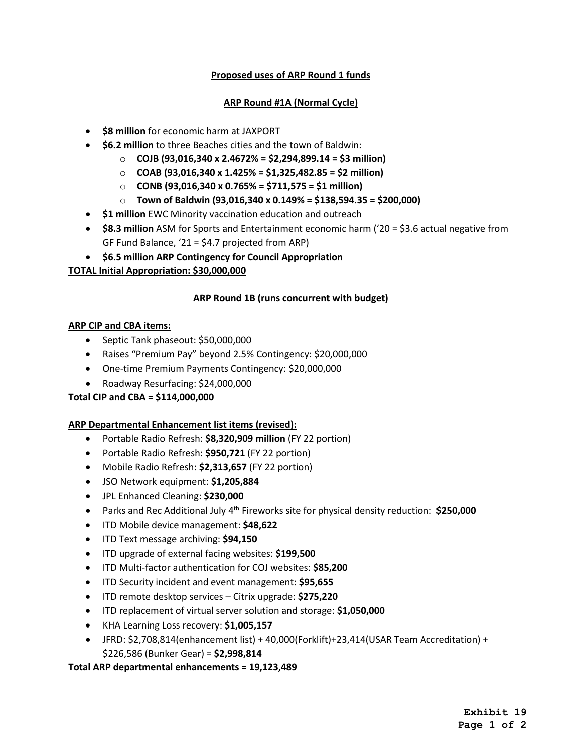## **Proposed uses of ARP Round 1 funds**

#### **ARP Round #1A (Normal Cycle)**

- **\$8 million** for economic harm at JAXPORT
- **\$6.2 million** to three Beaches cities and the town of Baldwin:
	- o **COJB (93,016,340 x 2.4672% = \$2,294,899.14 = \$3 million)**
	- o **COAB (93,016,340 x 1.425% = \$1,325,482.85 = \$2 million)**
	- o **CONB (93,016,340 x 0.765% = \$711,575 = \$1 million)**
	- o **Town of Baldwin (93,016,340 x 0.149% = \$138,594.35 = \$200,000)**
- **\$1 million** EWC Minority vaccination education and outreach
- **\$8.3 million** ASM for Sports and Entertainment economic harm ('20 = \$3.6 actual negative from GF Fund Balance, '21 = \$4.7 projected from ARP)
- **\$6.5 million ARP Contingency for Council Appropriation**

## **TOTAL Initial Appropriation: \$30,000,000**

#### **ARP Round 1B (runs concurrent with budget)**

#### **ARP CIP and CBA items:**

- Septic Tank phaseout: \$50,000,000
- Raises "Premium Pay" beyond 2.5% Contingency: \$20,000,000
- One-time Premium Payments Contingency: \$20,000,000
- Roadway Resurfacing: \$24,000,000

# **Total CIP and CBA = \$114,000,000**

#### **ARP Departmental Enhancement list items (revised):**

- Portable Radio Refresh: **\$8,320,909 million** (FY 22 portion)
- Portable Radio Refresh: **\$950,721** (FY 22 portion)
- Mobile Radio Refresh: **\$2,313,657** (FY 22 portion)
- JSO Network equipment: **\$1,205,884**
- JPL Enhanced Cleaning: **\$230,000**
- Parks and Rec Additional July 4th Fireworks site for physical density reduction: **\$250,000**
- ITD Mobile device management: **\$48,622**
- ITD Text message archiving: **\$94,150**
- ITD upgrade of external facing websites: **\$199,500**
- ITD Multi-factor authentication for COJ websites: **\$85,200**
- ITD Security incident and event management: **\$95,655**
- ITD remote desktop services Citrix upgrade: **\$275,220**
- ITD replacement of virtual server solution and storage: **\$1,050,000**
- KHA Learning Loss recovery: **\$1,005,157**
- JFRD: \$2,708,814(enhancement list) + 40,000(Forklift)+23,414(USAR Team Accreditation) + \$226,586 (Bunker Gear) = **\$2,998,814**

#### **Total ARP departmental enhancements = 19,123,489**